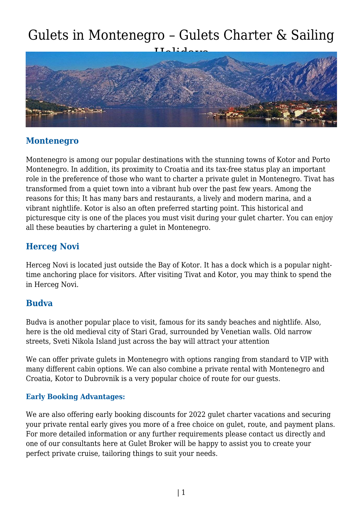## Gulets in Montenegro – Gulets Charter & Sailing



## **Montenegro**

Montenegro is among our popular destinations with the stunning towns of Kotor and Porto Montenegro. In addition, its proximity to Croatia and its tax-free status play an important role in the preference of those who want to charter a private gulet in Montenegro. Tivat has transformed from a quiet town into a vibrant hub over the past few years. Among the reasons for this; It has many bars and restaurants, a lively and modern marina, and a vibrant nightlife. Kotor is also an often preferred starting point. This historical and picturesque city is one of the places you must visit during your gulet charter. You can enjoy all these beauties by chartering a gulet in Montenegro.

### **Herceg Novi**

Herceg Novi is located just outside the Bay of Kotor. It has a dock which is a popular nighttime anchoring place for visitors. After visiting Tivat and Kotor, you may think to spend the in Herceg Novi.

#### **Budva**

Budva is another popular place to visit, famous for its sandy beaches and nightlife. Also, here is the old medieval city of Stari Grad, surrounded by Venetian walls. Old narrow streets, Sveti Nikola Island just across the bay will attract your attention

We can offer private gulets in Montenegro with options ranging from standard to VIP with many different cabin options. We can also combine a private rental with Montenegro and Croatia, Kotor to Dubrovnik is a very popular choice of route for our guests.

#### **Early Booking Advantages:**

We are also offering early booking discounts for 2022 gulet charter vacations and securing your private rental early gives you more of a free choice on gulet, route, and payment plans. For more detailed information or any further requirements please contact us directly and one of our consultants here at Gulet Broker will be happy to assist you to create your perfect private cruise, tailoring things to suit your needs.